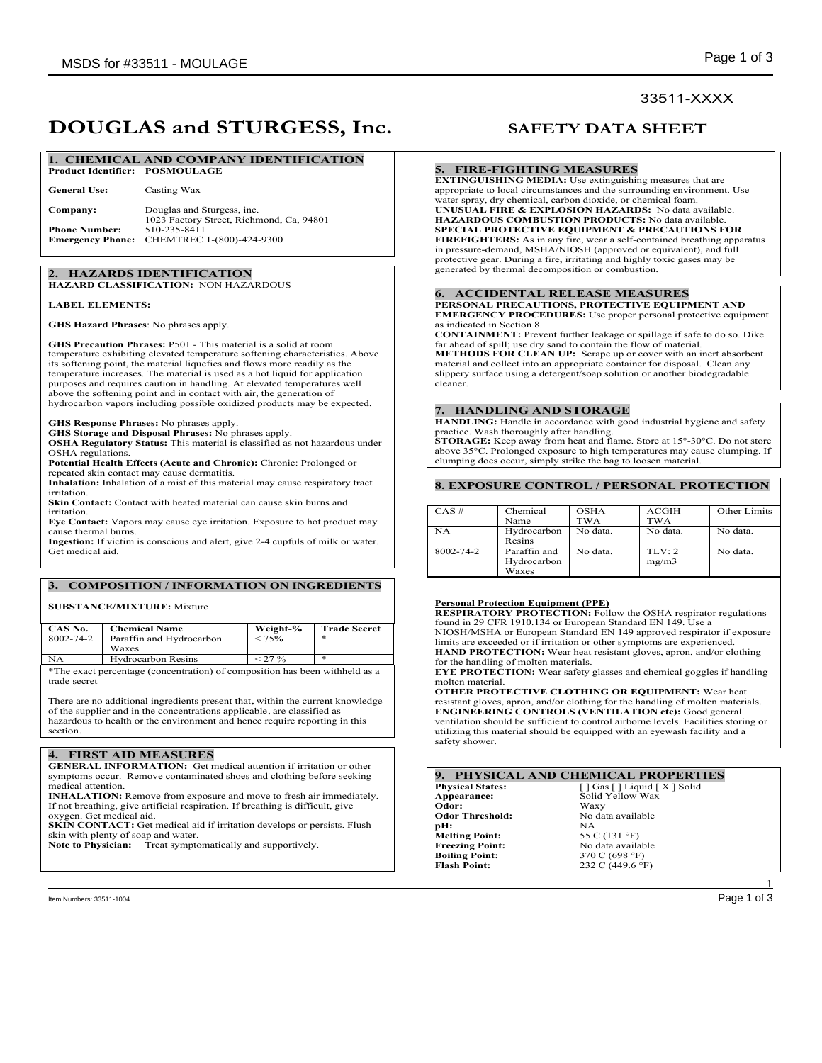# 33511-XXXX

# **DOUGLAS and STURGESS, Inc. SAFETY DATA SHEET**

### **1. CHEMICAL AND COMPANY IDENTIFICATION Product Identifier: POSMOULAGE**

| <b>General Use:</b>  | Casting Wax                                                            |
|----------------------|------------------------------------------------------------------------|
| Company:             | Douglas and Sturgess, inc.<br>1023 Factory Street, Richmond, Ca. 94801 |
| <b>Phone Number:</b> | 510-235-8411                                                           |
|                      | Emergency Phone: CHEMTREC 1-(800)-424-9300                             |

### **2. HAZARDS IDENTIFICATION HAZARD CLASSIFICATION:** NON HAZARDOUS

### **LABEL ELEMENTS:**

**GHS Hazard Phrases**: No phrases apply.

**GHS Precaution Phrases:** P501 - This material is a solid at room temperature exhibiting elevated temperature softening characteristics. Above its softening point, the material liquefies and flows more readily as the temperature increases. The material is used as a hot liquid for application purposes and requires caution in handling. At elevated temperatures well above the softening point and in contact with air, the generation of hydrocarbon vapors including possible oxidized products may be expected.

**GHS Response Phrases:** No phrases apply.

**GHS Storage and Disposal Phrases:** No phrases apply.

**OSHA Regulatory Status:** This material is classified as not hazardous under OSHA regulations.

**Potential Health Effects (Acute and Chronic):** Chronic: Prolonged or repeated skin contact may cause dermatitis. **Inhalation:** Inhalation of a mist of this material may cause respiratory tract

irritation.

**Skin Contact:** Contact with heated material can cause skin burns and irritation.

**Eye Contact:** Vapors may cause eye irritation. Exposure to hot product may cause thermal burns.

**Ingestion:** If victim is conscious and alert, give 2-4 cupfuls of milk or water. Get medical aid.

## **3. COMPOSITION / INFORMATION ON INGREDIENTS**

## **SUBSTANCE/MIXTURE:** Mixture

| CAS No.   | <b>Chemical Name</b>              | Weight-% | <b>Trade Secret</b> |
|-----------|-----------------------------------|----------|---------------------|
| 8002-74-2 | Paraffin and Hydrocarbon<br>Waxes | $< 75\%$ | $\ast$              |
| NΑ        | <b>Hydrocarbon Resins</b>         | < 27 %   | $\ast$              |
|           |                                   |          |                     |

\*The exact percentage (concentration) of composition has been withheld as a trade secret

There are no additional ingredients present that, within the current knowledge of the supplier and in the concentrations applicable, are classified as hazardous to health or the environment and hence require reporting in this section.

## **4. FIRST AID MEASURES**

**GENERAL INFORMATION:** Get medical attention if irritation or other symptoms occur. Remove contaminated shoes and clothing before seeking medical attention.

**INHALATION:** Remove from exposure and move to fresh air immediately. If not breathing, give artificial respiration. If breathing is difficult, give oxygen. Get medical aid.

**SKIN CONTACT:** Get medical aid if irritation develops or persists. Flush skin with plenty of soap and water.

**Note to Physician:** Treat symptomatically and supportively.

### **5. FIRE-FIGHTING MEASURES**

**EXTINGUISHING MEDIA:** Use extinguishing measures that are appropriate to local circumstances and the surrounding environment. Use water spray, dry chemical, carbon dioxide, or chemical foam. **UNUSUAL FIRE & EXPLOSION HAZARDS:** No data available. **HAZARDOUS COMBUSTION PRODUCTS:** No data available. **SPECIAL PROTECTIVE EQUIPMENT & PRECAUTIONS FOR FIREFIGHTERS:** As in any fire, wear a self-contained breathing apparatus in pressure-demand, MSHA/NIOSH (approved or equivalent), and full protective gear. During a fire, irritating and highly toxic gases may be generated by thermal decomposition or combustion.

### **6. ACCIDENTAL RELEASE MEASURES**

**PERSONAL PRECAUTIONS, PROTECTIVE EQUIPMENT AND EMERGENCY PROCEDURES:** Use proper personal protective equipment as indicated in Section 8.

**CONTAINMENT:** Prevent further leakage or spillage if safe to do so. Dike far ahead of spill; use dry sand to contain the flow of material. **METHODS FOR CLEAN UP:** Scrape up or cover with an inert absorbent material and collect into an appropriate container for disposal. Clean any

slippery surface using a detergent/soap solution or another biodegradable cleaner.

### **7. HANDLING AND STORAGE**

**HANDLING:** Handle in accordance with good industrial hygiene and safety practice. Wash thoroughly after handling.

**STORAGE:** Keep away from heat and flame. Store at 15°-30°C. Do not store above 35°C. Prolonged exposure to high temperatures may cause clumping. If clumping does occur, simply strike the bag to loosen material.

# **8. EXPOSURE CONTROL / PERSONAL PROTECTION**

| $CAS \#$  | Chemical                             | <b>OSHA</b> | <b>ACGIH</b>    | Other Limits |
|-----------|--------------------------------------|-------------|-----------------|--------------|
|           | Name                                 | TWA         | <b>TWA</b>      |              |
| NA        | Hydrocarbon                          | No data.    | No data.        | No data.     |
|           | Resins                               |             |                 |              |
| 8002-74-2 | Paraffin and<br>Hydrocarbon<br>Waxes | No data     | TLV: 2<br>mg/m3 | No data.     |

## **Personal Protection Equipment (PPE)**

**RESPIRATORY PROTECTION:** Follow the OSHA respirator regulations found in 29 CFR 1910.134 or European Standard EN 149. Use a NIOSH/MSHA or European Standard EN 149 approved respirator if exposure limits are exceeded or if irritation or other symptoms are experienced. **HAND PROTECTION:** Wear heat resistant gloves, apron, and/or clothing for the handling of molten materials.

**EYE PROTECTION:** Wear safety glasses and chemical goggles if handling molten material.

**OTHER PROTECTIVE CLOTHING OR EQUIPMENT:** Wear heat resistant gloves, apron, and/or clothing for the handling of molten materials. **ENGINEERING CONTROLS (VENTILATION etc):** Good general ventilation should be sufficient to control airborne levels. Facilities storing or utilizing this material should be equipped with an eyewash facility and a safety shower.

|                         | 9. PHYSICAL AND CHEMICAL PROPERTIES                 |
|-------------------------|-----------------------------------------------------|
| <b>Physical States:</b> | $\lceil$   Gas $\lceil$   Liquid $\lceil$ X   Solid |
| Appearance:             | Solid Yellow Wax                                    |
| Odor:                   | Waxy                                                |
| <b>Odor Threshold:</b>  | No data available                                   |
| pH:                     | NA.                                                 |
| <b>Melting Point:</b>   | 55 C (131 °F)                                       |
| <b>Freezing Point:</b>  | No data available                                   |
| <b>Boiling Point:</b>   | 370 C (698 °F)                                      |
| <b>Flash Point:</b>     | 232 C (449.6 °F)                                    |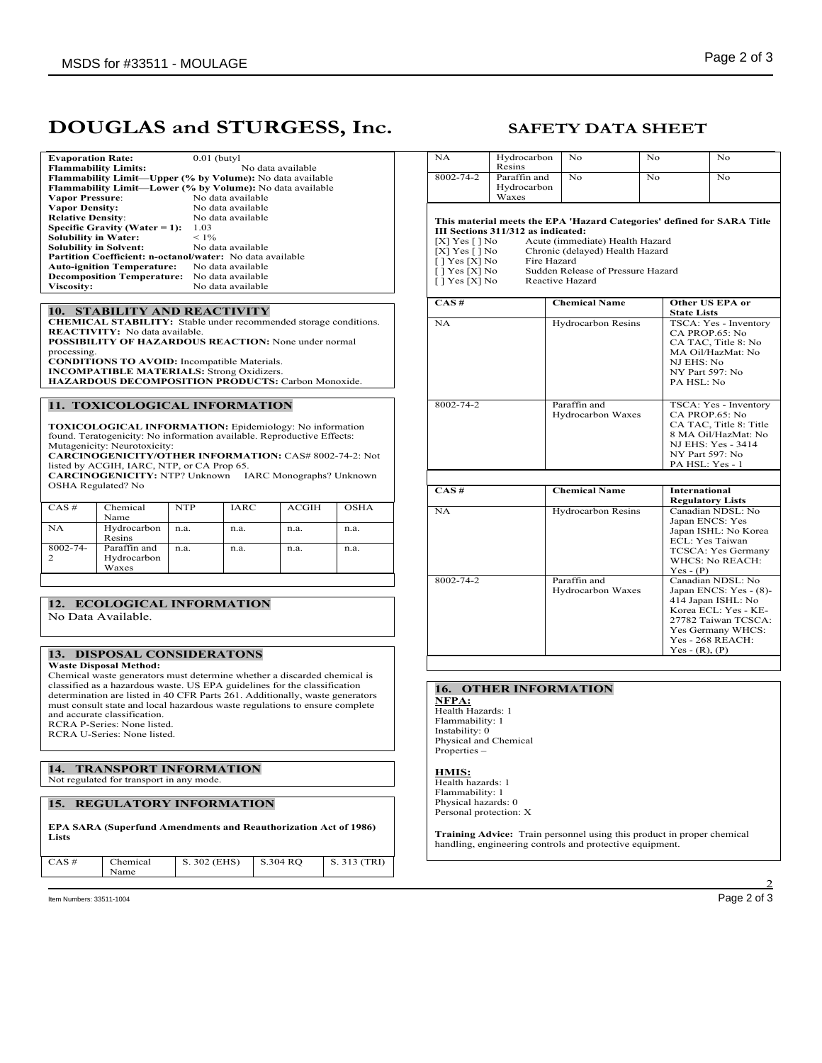# **DOUGLAS and STURGESS, Inc. SAFETY DATA SHEET**

| <b>Evaporation Rate:</b>                                         | $0.01$ (butyl)                                                   |
|------------------------------------------------------------------|------------------------------------------------------------------|
| <b>Flammability Limits:</b>                                      | No data available                                                |
|                                                                  | <b>Flammability Limit—Upper (% by Volume):</b> No data available |
|                                                                  | Flammability Limit-Lower (% by Volume): No data available        |
| <b>Vapor Pressure:</b>                                           | No data available                                                |
| <b>Vapor Density:</b>                                            | No data available                                                |
| <b>Relative Density:</b>                                         | No data available                                                |
| Specific Gravity (Water $= 1$ ):                                 | 1.03                                                             |
| <b>Solubility in Water:</b>                                      | $< 1\%$                                                          |
| <b>Solubility in Solvent:</b>                                    | No data available                                                |
| <b>Partition Coefficient: n-octanol/water:</b> No data available |                                                                  |
| <b>Auto-ignition Temperature:</b>                                | No data available                                                |
| <b>Decomposition Temperature:</b>                                | No data available                                                |
| <b>Viscosity:</b>                                                | No data available                                                |
|                                                                  |                                                                  |

### **10. STABILITY AND REACTIVITY**

**CHEMICAL STABILITY:** Stable under recommended storage conditions. **REACTIVITY:** No data available. **POSSIBILITY OF HAZARDOUS REACTION:** None under normal processing. **CONDITIONS TO AVOID:** Incompatible Materials. **INCOMPATIBLE MATERIALS:** Strong Oxidizers. **HAZARDOUS DECOMPOSITION PRODUCTS:** Carbon Monoxide.

### **11. TOXICOLOGICAL INFORMATION**

**TOXICOLOGICAL INFORMATION:** Epidemiology: No information found. Teratogenicity: No information available. Reproductive Effects: Mutagenicity: Neurotoxicity:

**CARCINOGENICITY/OTHER INFORMATION:** CAS# 8002-74-2: Not listed by ACGIH, IARC, NTP, or CA Prop 65. **CARCINOGENICITY:** NTP? Unknown IARC Monographs? Unknown

OSHA Regulated? No

| $CAS \#$      | Chemical<br>Name                     | <b>NTP</b> | <b>IARC</b> | <b>ACGIH</b> | <b>OSHA</b> |
|---------------|--------------------------------------|------------|-------------|--------------|-------------|
| <b>NA</b>     | Hydrocarbon<br>Resins                | n.a.       | n.a.        | n.a.         | n.a.        |
| $8002 - 74 -$ | Paraffin and<br>Hydrocarbon<br>Waxes | n.a.       | n.a.        | n.a.         | n.a.        |

### **12. ECOLOGICAL INFORMATION** No Data Available.

### **13. DISPOSAL CONSIDERATONS Waste Disposal Method:**

Chemical waste generators must determine whether a discarded chemical is classified as a hazardous waste. US EPA guidelines for the classification determination are listed in 40 CFR Parts 261. Additionally, waste generators must consult state and local hazardous waste regulations to ensure complete and accurate classification. RCRA P-Series: None listed.

RCRA U-Series: None listed.

### **14. TRANSPORT INFORMATION** Not regulated for transport in any mode.

# **15. REGULATORY INFORMATION**

| Lists |
|-------|
|       |

| $CAS \#$ | Chemical<br>Name | S. 302 (EHS) | S.304 RO | S. 313 (TRI) |
|----------|------------------|--------------|----------|--------------|
|          |                  |              |          |              |

Item Numbers: 33511-1004 Page 2 of 3

| NA                                                                                                                                                                                                                                                                                                                                                                                       | Hydrocarbon                           | No                                | No  |                                                                              | No                                                                                                                                                               |  |
|------------------------------------------------------------------------------------------------------------------------------------------------------------------------------------------------------------------------------------------------------------------------------------------------------------------------------------------------------------------------------------------|---------------------------------------|-----------------------------------|-----|------------------------------------------------------------------------------|------------------------------------------------------------------------------------------------------------------------------------------------------------------|--|
| 8002-74-2                                                                                                                                                                                                                                                                                                                                                                                | Resins<br>Paraffin and<br>Hydrocarbon | No.                               | No. |                                                                              | No                                                                                                                                                               |  |
|                                                                                                                                                                                                                                                                                                                                                                                          | Waxes                                 |                                   |     |                                                                              |                                                                                                                                                                  |  |
| This material meets the EPA 'Hazard Categories' defined for SARA Title<br>III Sections 311/312 as indicated:<br>Acute (immediate) Health Hazard<br>$[X]$ Yes $[ \ ]$ No<br>[X] $Yes$ [] $No$<br>Chronic (delayed) Health Hazard<br>Fire Hazard<br>[ ] Yes [X] No<br>$\overline{[}$   Yes $\overline{[}X$ No<br>Sudden Release of Pressure Hazard<br>$[1$ Yes $[X]$ No<br>Reactive Hazard |                                       |                                   |     |                                                                              |                                                                                                                                                                  |  |
| $CAS \#$                                                                                                                                                                                                                                                                                                                                                                                 |                                       | <b>Chemical Name</b>              |     | <b>State Lists</b>                                                           | <b>Other US EPA or</b>                                                                                                                                           |  |
| NA                                                                                                                                                                                                                                                                                                                                                                                       |                                       | Hydrocarbon Resins                |     | CA PROP.65: No<br>NJ EHS: No<br>NY Part 597: No<br>PA HSL: No                | TSCA: Yes - Inventory<br>CA TAC, Title 8: No<br>MA Oil/HazMat: No                                                                                                |  |
| 8002-74-2                                                                                                                                                                                                                                                                                                                                                                                |                                       | Paraffin and<br>Hydrocarbon Waxes |     | CA PROP.65: No<br>NY Part 597: No<br>PA HSL: Yes - 1                         | TSCA: Yes - Inventory<br>CA TAC. Title 8: Title<br>8 MA Oil/HazMat: No<br><b>NJ EHS: Yes - 3414</b>                                                              |  |
|                                                                                                                                                                                                                                                                                                                                                                                          |                                       |                                   |     |                                                                              |                                                                                                                                                                  |  |
| CAS#                                                                                                                                                                                                                                                                                                                                                                                     |                                       | <b>Chemical Name</b>              |     | <b>International</b>                                                         |                                                                                                                                                                  |  |
| NA                                                                                                                                                                                                                                                                                                                                                                                       |                                       | Hydrocarbon Resins                |     | <b>Regulatory Lists</b><br>Japan ENCS: Yes<br>ECL: Yes Taiwan<br>$Yes - (P)$ | Canadian NDSL: No<br>Japan ISHL: No Korea<br>TCSCA: Yes Germany<br><b>WHCS: No REACH:</b>                                                                        |  |
| 8002-74-2                                                                                                                                                                                                                                                                                                                                                                                |                                       | Paraffin and<br>Hydrocarbon Waxes |     | $Yes - (R), (P)$                                                             | Canadian NDSL: No<br>Japan ENCS: Yes - (8)-<br>414 Japan ISHL: No<br>Korea ECL: Yes - KE-<br>27782 Taiwan TCSCA:<br>Yes Germany WHCS:<br><b>Yes - 268 REACH:</b> |  |

### **16. OTHER INFORMATION**

**NFPA:**  Health Hazards: 1 Flammability: 1 Instability: 0 Physical and Chemical **Properties** 

### **HMIS:**

Health hazards: 1 Flammability: 1 Physical hazards: 0 Personal protection: X

**Training Advice:** Train personnel using this product in proper chemical handling, engineering controls and protective equipment.

2